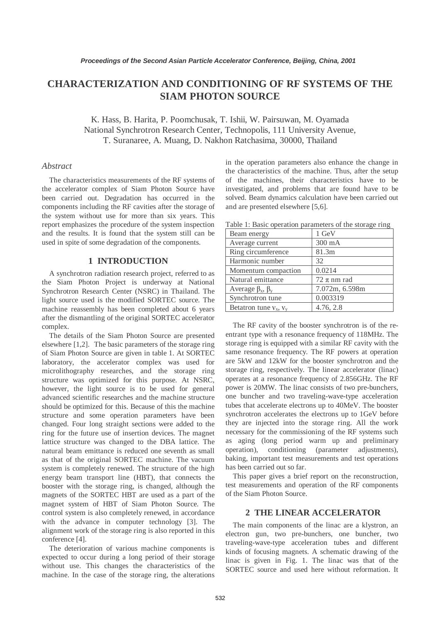# **CHARACTERIZATION AND CONDITIONING OF RF SYSTEMS OF THE SIAM PHOTON SOURCE**

K. Hass, B. Harita, P. Poomchusak, T. Ishii, W. Pairsuwan, M. Oyamada National Synchrotron Research Center, Technopolis, 111 University Avenue, T. Suranaree, A. Muang, D. Nakhon Ratchasima, 30000, Thailand

### *Abstract*

The characteristics measurements of the RF systems of the accelerator complex of Siam Photon Source have been carried out. Degradation has occurred in the components including the RF cavities after the storage of the system without use for more than six years. This report emphasizes the procedure of the system inspection and the results. It is found that the system still can be used in spite of some degradation of the components.

## **1 INTRODUCTION**

A synchrotron radiation research project, referred to as the Siam Photon Project is underway at National Synchrotron Research Center (NSRC) in Thailand. The light source used is the modified SORTEC source. The machine reassembly has been completed about 6 years after the dismantling of the original SORTEC accelerator complex.

The details of the Siam Photon Source are presented elsewhere [1,2]. The basic parameters of the storage ring of Siam Photon Source are given in table 1. At SORTEC laboratory, the accelerator complex was used for microlithography researches, and the storage ring structure was optimized for this purpose. At NSRC, however, the light source is to be used for general advanced scientific researches and the machine structure should be optimized for this. Because of this the machine structure and some operation parameters have been changed. Four long straight sections were added to the ring for the future use of insertion devices. The magnet lattice structure was changed to the DBA lattice. The natural beam emittance is reduced one seventh as small as that of the original SORTEC machine. The vacuum system is completely renewed. The structure of the high energy beam transport line (HBT), that connects the booster with the storage ring, is changed, although the magnets of the SORTEC HBT are used as a part of the magnet system of HBT of Siam Photon Source. The control system is also completely renewed, in accordance with the advance in computer technology [3]. The alignment work of the storage ring is also reported in this conference [4].

The deterioration of various machine components is expected to occur during a long period of their storage without use. This changes the characteristics of the machine. In the case of the storage ring, the alterations in the operation parameters also enhance the change in the characteristics of the machine. Thus, after the setup of the machines, their characteristics have to be investigated, and problems that are found have to be solved. Beam dynamics calculation have been carried out and are presented elsewhere [5,6].

| raone 1. Basic operation parameters of the storage ring |                 |  |  |
|---------------------------------------------------------|-----------------|--|--|
| Beam energy                                             | 1 GeV           |  |  |
| Average current                                         | 300 mA          |  |  |
| Ring circumference                                      | 81.3m           |  |  |
| Harmonic number                                         | 32              |  |  |
| Momentum compaction                                     | 0.0214          |  |  |
| Natural emittance                                       | $72 \pi$ nm rad |  |  |
| Average $\beta_x$ , $\beta_y$                           | 7.072m, 6.598m  |  |  |
| Synchrotron tune                                        | 0.003319        |  |  |
| Betatron tune $v_x$ , $v_y$                             | 4.76, 2.8       |  |  |
|                                                         |                 |  |  |

Table 1: Basic operation parameters of the storage ring

The RF cavity of the booster synchrotron is of the reentrant type with a resonance frequency of 118MHz. The storage ring is equipped with a similar RF cavity with the same resonance frequency. The RF powers at operation are 5kW and 12kW for the booster synchrotron and the storage ring, respectively. The linear accelerator (linac) operates at a resonance frequency of 2.856GHz. The RF power is 20MW. The linac consists of two pre-bunchers, one buncher and two traveling-wave-type acceleration tubes that accelerate electrons up to 40MeV. The booster synchrotron accelerates the electrons up to 1GeV before they are injected into the storage ring. All the work necessary for the commissioning of the RF systems such as aging (long period warm up and preliminary operation), conditioning (parameter adjustments), baking, important test measurements and test operations has been carried out so far.

This paper gives a brief report on the reconstruction, test measurements and operation of the RF components of the Siam Photon Source.

## **2 THE LINEAR ACCELERATOR**

The main components of the linac are a klystron, an electron gun, two pre-bunchers, one buncher, two traveling-wave-type acceleration tubes and different kinds of focusing magnets. A schematic drawing of the linac is given in Fig. 1. The linac was that of the SORTEC source and used here without reformation. It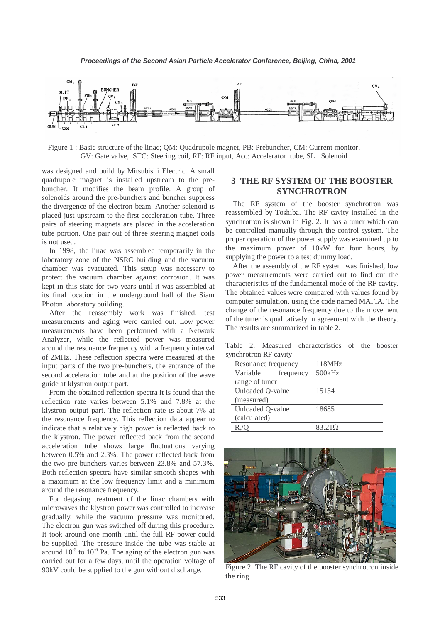

Figure 1 : Basic structure of the linac; QM: Quadrupole magnet, PB: Prebuncher, CM: Current monitor, GV: Gate valve, STC: Steering coil, RF: RF input, Acc: Accelerator tube, SL : Solenoid

was designed and build by Mitsubishi Electric. A small quadrupole magnet is installed upstream to the prebuncher. It modifies the beam profile. A group of solenoids around the pre-bunchers and buncher suppress the divergence of the electron beam. Another solenoid is placed just upstream to the first acceleration tube. Three pairs of steering magnets are placed in the acceleration tube portion. One pair out of three steering magnet coils is not used.

In 1998, the linac was assembled temporarily in the laboratory zone of the NSRC building and the vacuum chamber was evacuated. This setup was necessary to protect the vacuum chamber against corrosion. It was kept in this state for two years until it was assembled at its final location in the underground hall of the Siam Photon laboratory building.

After the reassembly work was finished, test measurements and aging were carried out. Low power measurements have been performed with a Network Analyzer, while the reflected power was measured around the resonance frequency with a frequency interval of 2MHz. These reflection spectra were measured at the input parts of the two pre-bunchers, the entrance of the second acceleration tube and at the position of the wave guide at klystron output part.

From the obtained reflection spectra it is found that the reflection rate varies between 5.1% and 7.8% at the klystron output part. The reflection rate is about 7% at the resonance frequency. This reflection data appear to indicate that a relatively high power is reflected back to the klystron. The power reflected back from the second acceleration tube shows large fluctuations varying between 0.5% and 2.3%. The power reflected back from the two pre-bunchers varies between 23.8% and 57.3%. Both reflection spectra have similar smooth shapes with a maximum at the low frequency limit and a minimum around the resonance frequency.

For degasing treatment of the linac chambers with microwaves the klystron power was controlled to increase gradually, while the vacuum pressure was monitored. The electron gun was switched off during this procedure. It took around one month until the full RF power could be supplied. The pressure inside the tube was stable at around  $10^{-5}$  to  $10^{-6}$  Pa. The aging of the electron gun was carried out for a few days, until the operation voltage of 90kV could be supplied to the gun without discharge.

# **3 THE RF SYSTEM OF THE BOOSTER SYNCHROTRON**

The RF system of the booster synchrotron was reassembled by Toshiba. The RF cavity installed in the synchrotron is shown in Fig. 2. It has a tuner which can be controlled manually through the control system. The proper operation of the power supply was examined up to the maximum power of 10kW for four hours, by supplying the power to a test dummy load.

After the assembly of the RF system was finished, low power measurements were carried out to find out the characteristics of the fundamental mode of the RF cavity. The obtained values were compared with values found by computer simulation, using the code named MAFIA. The change of the resonance frequency due to the movement of the tuner is qualitatively in agreement with the theory. The results are summarized in table 2.

Table 2: Measured characteristics of the booster synchrotron RF cavity

| Resonance frequency |                  |           | 118MHz |
|---------------------|------------------|-----------|--------|
|                     | Variable         | frequency | 500kHz |
| range of tuner      |                  |           |        |
|                     | Unloaded Q-value |           | 15134  |
|                     | (measured)       |           |        |
|                     | Unloaded Q-value |           | 18685  |
|                     | (calculated)     |           |        |
|                     |                  |           | 83.21Ω |



Figure 2: The RF cavity of the booster synchrotron inside the ring